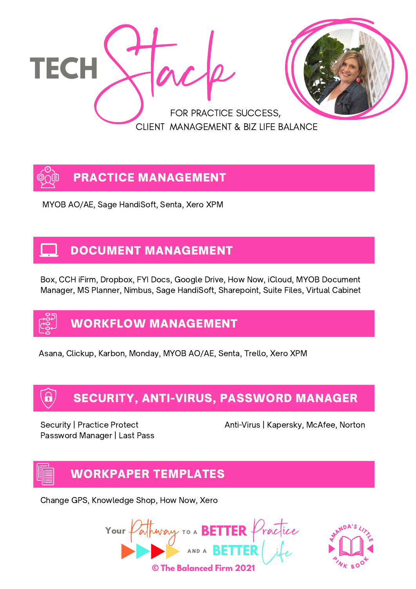



MYOB AO/AE, Sage HandiSoft, Senta, Xero XPM

#### DOCUMENT MANAGEMENT

Box, CCH iFirm, Dropbox, FYI Docs, Google Drive, How Now, iCloud, MYOB Document Manager, MS Planner, Nimbus, Sage HandiSoft, Sharepoint, Suite Files, Virtual Cabinet

### WORKFLOW MANAGEMENT

Asana, Clickup, Karbon, Monday, MYOB AO/AE, Senta, Trello, Xero XPM

### SECURITY, ANTI-VIRUS, PASSWORD MANAGER

Password Manager | Last Pass

Security | Practice Protect Anti-Virus | Kapersky, McAfee, Norton

### WORKPAPER TEMPLATES

Change GPS, Knowledge Shop, How Now, Xero